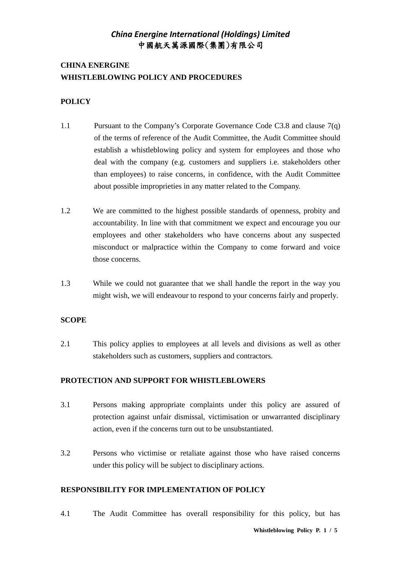## **CHINA ENERGINE WHISTLEBLOWING POLICY AND PROCEDURES**

### **POLICY**

- 1.1 Pursuant to the Company's Corporate Governance Code C3.8 and clause 7(q) of the terms of reference of the Audit Committee, the Audit Committee should establish a whistleblowing policy and system for employees and those who deal with the company (e.g. customers and suppliers i.e. stakeholders other than employees) to raise concerns, in confidence, with the Audit Committee about possible improprieties in any matter related to the Company.
- 1.2 We are committed to the highest possible standards of openness, probity and accountability. In line with that commitment we expect and encourage you our employees and other stakeholders who have concerns about any suspected misconduct or malpractice within the Company to come forward and voice those concerns.
- 1.3 While we could not guarantee that we shall handle the report in the way you might wish, we will endeavour to respond to your concerns fairly and properly.

#### **SCOPE**

2.1 This policy applies to employees at all levels and divisions as well as other stakeholders such as customers, suppliers and contractors.

#### **PROTECTION AND SUPPORT FOR WHISTLEBLOWERS**

- 3.1 Persons making appropriate complaints under this policy are assured of protection against unfair dismissal, victimisation or unwarranted disciplinary action, even if the concerns turn out to be unsubstantiated.
- 3.2 Persons who victimise or retaliate against those who have raised concerns under this policy will be subject to disciplinary actions.

### **RESPONSIBILITY FOR IMPLEMENTATION OF POLICY**

4.1 The Audit Committee has overall responsibility for this policy, but has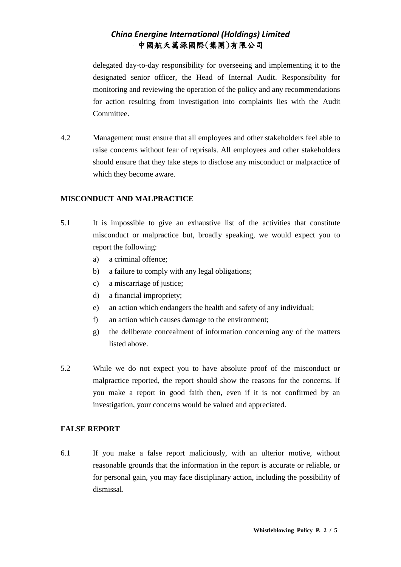delegated day-to-day responsibility for overseeing and implementing it to the designated senior officer, the Head of Internal Audit. Responsibility for monitoring and reviewing the operation of the policy and any recommendations for action resulting from investigation into complaints lies with the Audit Committee.

4.2 Management must ensure that all employees and other stakeholders feel able to raise concerns without fear of reprisals. All employees and other stakeholders should ensure that they take steps to disclose any misconduct or malpractice of which they become aware.

### **MISCONDUCT AND MALPRACTICE**

- 5.1 It is impossible to give an exhaustive list of the activities that constitute misconduct or malpractice but, broadly speaking, we would expect you to report the following:
	- a) a criminal offence;
	- b) a failure to comply with any legal obligations;
	- c) a miscarriage of justice;
	- d) a financial impropriety;
	- e) an action which endangers the health and safety of any individual;
	- f) an action which causes damage to the environment;
	- g) the deliberate concealment of information concerning any of the matters listed above.
- 5.2 While we do not expect you to have absolute proof of the misconduct or malpractice reported, the report should show the reasons for the concerns. If you make a report in good faith then, even if it is not confirmed by an investigation, your concerns would be valued and appreciated.

#### **FALSE REPORT**

6.1 If you make a false report maliciously, with an ulterior motive, without reasonable grounds that the information in the report is accurate or reliable, or for personal gain, you may face disciplinary action, including the possibility of dismissal.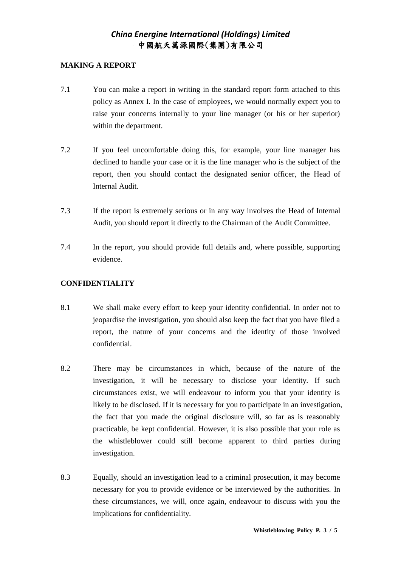### **MAKING A REPORT**

- 7.1 You can make a report in writing in the standard report form attached to this policy as Annex I. In the case of employees, we would normally expect you to raise your concerns internally to your line manager (or his or her superior) within the department.
- 7.2 If you feel uncomfortable doing this, for example, your line manager has declined to handle your case or it is the line manager who is the subject of the report, then you should contact the designated senior officer, the Head of Internal Audit.
- 7.3 If the report is extremely serious or in any way involves the Head of Internal Audit, you should report it directly to the Chairman of the Audit Committee.
- 7.4 In the report, you should provide full details and, where possible, supporting evidence.

### **CONFIDENTIALITY**

- 8.1 We shall make every effort to keep your identity confidential. In order not to jeopardise the investigation, you should also keep the fact that you have filed a report, the nature of your concerns and the identity of those involved confidential.
- 8.2 There may be circumstances in which, because of the nature of the investigation, it will be necessary to disclose your identity. If such circumstances exist, we will endeavour to inform you that your identity is likely to be disclosed. If it is necessary for you to participate in an investigation, the fact that you made the original disclosure will, so far as is reasonably practicable, be kept confidential. However, it is also possible that your role as the whistleblower could still become apparent to third parties during investigation.
- 8.3 Equally, should an investigation lead to a criminal prosecution, it may become necessary for you to provide evidence or be interviewed by the authorities. In these circumstances, we will, once again, endeavour to discuss with you the implications for confidentiality.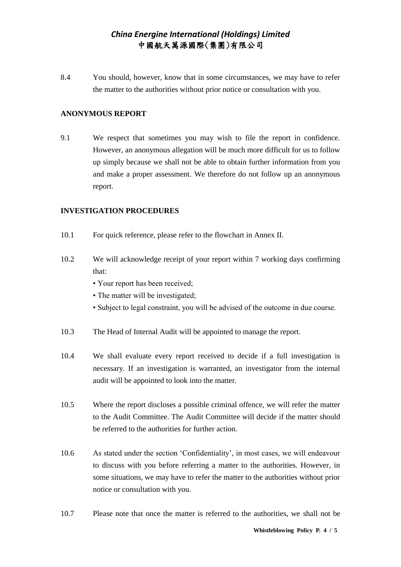8.4 You should, however, know that in some circumstances, we may have to refer the matter to the authorities without prior notice or consultation with you.

### **ANONYMOUS REPORT**

9.1 We respect that sometimes you may wish to file the report in confidence. However, an anonymous allegation will be much more difficult for us to follow up simply because we shall not be able to obtain further information from you and make a proper assessment. We therefore do not follow up an anonymous report.

#### **INVESTIGATION PROCEDURES**

- 10.1 For quick reference, please refer to the flowchart in Annex II.
- 10.2 We will acknowledge receipt of your report within 7 working days confirming that:
	- Your report has been received;
	- The matter will be investigated:
	- Subject to legal constraint, you will be advised of the outcome in due course.
- 10.3 The Head of Internal Audit will be appointed to manage the report.
- 10.4 We shall evaluate every report received to decide if a full investigation is necessary. If an investigation is warranted, an investigator from the internal audit will be appointed to look into the matter.
- 10.5 Where the report discloses a possible criminal offence, we will refer the matter to the Audit Committee. The Audit Committee will decide if the matter should be referred to the authorities for further action.
- 10.6 As stated under the section 'Confidentiality', in most cases, we will endeavour to discuss with you before referring a matter to the authorities. However, in some situations, we may have to refer the matter to the authorities without prior notice or consultation with you.
- 10.7 Please note that once the matter is referred to the authorities, we shall not be